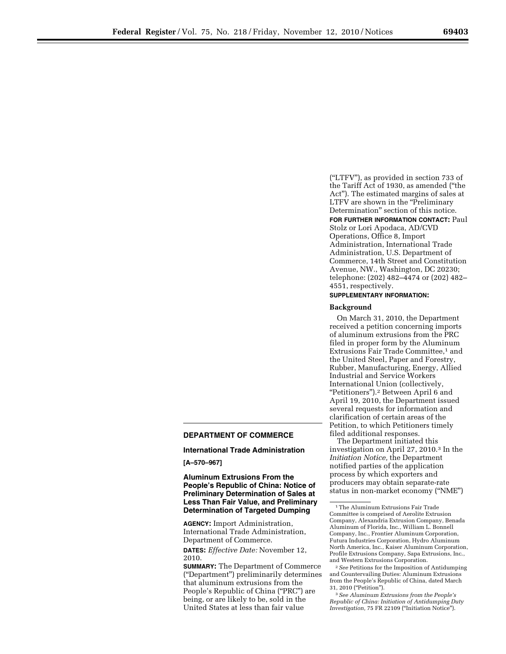(''LTFV''), as provided in section 733 of the Tariff Act of 1930, as amended (''the Act''). The estimated margins of sales at LTFV are shown in the ''Preliminary Determination'' section of this notice. **FOR FURTHER INFORMATION CONTACT:** Paul

Stolz or Lori Apodaca, AD/CVD Operations, Office 8, Import Administration, International Trade Administration, U.S. Department of Commerce, 14th Street and Constitution Avenue, NW., Washington, DC 20230; telephone: (202) 482–4474 or (202) 482– 4551, respectively.

# **SUPPLEMENTARY INFORMATION:**

### **Background**

On March 31, 2010, the Department received a petition concerning imports of aluminum extrusions from the PRC filed in proper form by the Aluminum Extrusions Fair Trade Committee,<sup>1</sup> and the United Steel, Paper and Forestry, Rubber, Manufacturing, Energy, Allied Industrial and Service Workers International Union (collectively, ''Petitioners'').2 Between April 6 and April 19, 2010, the Department issued several requests for information and clarification of certain areas of the Petition, to which Petitioners timely filed additional responses.

The Department initiated this investigation on April 27, 2010.3 In the *Initiation Notice,* the Department notified parties of the application process by which exporters and producers may obtain separate-rate status in non-market economy (''NME'')

2*See* Petitions for the Imposition of Antidumping and Countervailing Duties: Aluminum Extrusions from the People's Republic of China, dated March 31, 2010 (''Petition'').

3*See Aluminum Extrusions from the People's Republic of China: Initiation of Antidumping Duty Investigation,* 75 FR 22109 (''Initiation Notice'').

## **DEPARTMENT OF COMMERCE**

### **International Trade Administration**

#### **[A–570–967]**

**Aluminum Extrusions From the People's Republic of China: Notice of Preliminary Determination of Sales at Less Than Fair Value, and Preliminary Determination of Targeted Dumping** 

**AGENCY:** Import Administration, International Trade Administration, Department of Commerce.

**DATES:** *Effective Date:* November 12, 2010.

**SUMMARY:** The Department of Commerce (''Department'') preliminarily determines that aluminum extrusions from the People's Republic of China ("PRC") are being, or are likely to be, sold in the United States at less than fair value

<sup>1</sup>The Aluminum Extrusions Fair Trade Committee is comprised of Aerolite Extrusion Company, Alexandria Extrusion Company, Benada Aluminum of Florida, Inc., William L. Bonnell Company, Inc., Frontier Aluminum Corporation, Futura Industries Corporation, Hydro Aluminum North America, Inc., Kaiser Aluminum Corporation, Profile Extrusions Company, Sapa Extrusions, Inc., and Western Extrusions Corporation.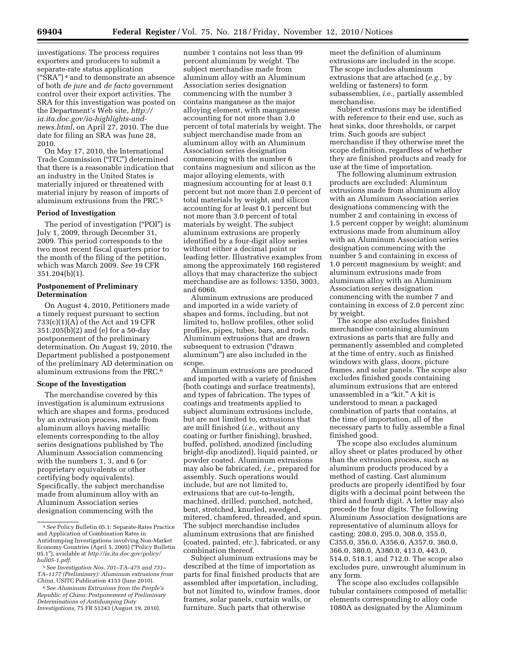investigations. The process requires exporters and producers to submit a separate-rate status application (''SRA'') 4 and to demonstrate an absence of both *de jure* and *de facto* government control over their export activities. The SRA for this investigation was posted on the Department's Web site, *http://* 

*ia.ita.doc.gov/ia-highlights-andnews.html*, on April 27, 2010. The due date for filing an SRA was June 28, 2010.

On May 17, 2010, the International Trade Commission (''ITC'') determined that there is a reasonable indication that an industry in the United States is materially injured or threatened with material injury by reason of imports of aluminum extrusions from the PRC.5

#### **Period of Investigation**

The period of investigation ("POI") is July 1, 2009, through December 31, 2009. This period corresponds to the two most recent fiscal quarters prior to the month of the filing of the petition, which was March 2009. *See* 19 CFR 351.204(b)(1).

# **Postponement of Preliminary Determination**

On August 4, 2010, Petitioners made a timely request pursuant to section 733(c)(1)(A) of the Act and 19 CFR 351.205(b)(2) and (e) for a 50-day postponement of the preliminary determination. On August 19, 2010, the Department published a postponement of the preliminary AD determination on aluminum extrusions from the PRC.6

### **Scope of the Investigation**

The merchandise covered by this investigation is aluminum extrusions which are shapes and forms, produced by an extrusion process, made from aluminum alloys having metallic elements corresponding to the alloy series designations published by The Aluminum Association commencing with the numbers 1, 3, and 6 (or proprietary equivalents or other certifying body equivalents). Specifically, the subject merchandise made from aluminum alloy with an Aluminum Association series designation commencing with the

number 1 contains not less than 99 percent aluminum by weight. The subject merchandise made from aluminum alloy with an Aluminum Association series designation commencing with the number 3 contains manganese as the major alloying element, with manganese accounting for not more than 3.0 percent of total materials by weight. The subject merchandise made from an aluminum alloy with an Aluminum Association series designation commencing with the number 6 contains magnesium and silicon as the major alloying elements, with magnesium accounting for at least 0.1 percent but not more than 2.0 percent of total materials by weight, and silicon accounting for at least 0.1 percent but not more than 3.0 percent of total materials by weight. The subject aluminum extrusions are properly identified by a four-digit alloy series without either a decimal point or leading letter. Illustrative examples from among the approximately 160 registered alloys that may characterize the subject merchandise are as follows: 1350, 3003, and 6060.

Aluminum extrusions are produced and imported in a wide variety of shapes and forms, including, but not limited to, hollow profiles, other solid profiles, pipes, tubes, bars, and rods. Aluminum extrusions that are drawn subsequent to extrusion (''drawn aluminum'') are also included in the scope.

Aluminum extrusions are produced and imported with a variety of finishes (both coatings and surface treatments), and types of fabrication. The types of coatings and treatments applied to subject aluminum extrusions include, but are not limited to, extrusions that are mill finished (*i.e.,* without any coating or further finishing), brushed, buffed, polished, anodized (including bright-dip anodized), liquid painted, or powder coated. Aluminum extrusions may also be fabricated, *i.e.,* prepared for assembly. Such operations would include, but are not limited to, extrusions that are cut-to-length, machined, drilled, punched, notched, bent, stretched, knurled, swedged, mitered, chamfered, threaded, and spun. The subject merchandise includes aluminum extrusions that are finished (coated, painted, *etc.*), fabricated, or any combination thereof.

Subject aluminum extrusions may be described at the time of importation as parts for final finished products that are assembled after importation, including, but not limited to, window frames, door frames, solar panels, curtain walls, or furniture. Such parts that otherwise

meet the definition of aluminum extrusions are included in the scope. The scope includes aluminum extrusions that are attached (*e.g.,* by welding or fasteners) to form subassemblies, *i.e.,* partially assembled merchandise.

Subject extrusions may be identified with reference to their end use, such as heat sinks, door thresholds, or carpet trim. Such goods are subject merchandise if they otherwise meet the scope definition, regardless of whether they are finished products and ready for use at the time of importation.

The following aluminum extrusion products are excluded: Aluminum extrusions made from aluminum alloy with an Aluminum Association series designations commencing with the number 2 and containing in excess of 1.5 percent copper by weight; aluminum extrusions made from aluminum alloy with an Aluminum Association series designation commencing with the number 5 and containing in excess of 1.0 percent magnesium by weight; and aluminum extrusions made from aluminum alloy with an Aluminum Association series designation commencing with the number 7 and containing in excess of 2.0 percent zinc by weight.

The scope also excludes finished merchandise containing aluminum extrusions as parts that are fully and permanently assembled and completed at the time of entry, such as finished windows with glass, doors, picture frames, and solar panels. The scope also excludes finished goods containing aluminum extrusions that are entered unassembled in a "kit." A kit is understood to mean a packaged combination of parts that contains, at the time of importation, all of the necessary parts to fully assemble a final finished good.

The scope also excludes aluminum alloy sheet or plates produced by other than the extrusion process, such as aluminum products produced by a method of casting. Cast aluminum products are properly identified by four digits with a decimal point between the third and fourth digit. A letter may also precede the four digits. The following Aluminum Association designations are representative of aluminum alloys for casting: 208.0, 295.0, 308.0, 355.0, C355.0, 356.0, A356.0, A357.0, 360.0, 366.0, 380.0, A380.0, 413.0, 443.0, 514.0, 518.1, and 712.0. The scope also excludes pure, unwrought aluminum in any form.

The scope also excludes collapsible tubular containers composed of metallic elements corresponding to alloy code 1080A as designated by the Aluminum

<sup>4</sup>*See* Policy Bulletin 05.1: Separate-Rates Practice and Application of Combination Rates in Antidumping Investigations involving Non-Market Economy Countries (April 5, 2005) (''Policy Bulletin 05.1''), available at *http://ia.ita.doc.gov/policy/ bull05-1.pdf.* 

<sup>5</sup>*See Investigation Nos. 701–TA–475 and 731– TA–1177 (Preliminary): Aluminum extrusions from China,* USITC Publication 4153 (June 2010).

<sup>6</sup>*See Aluminum Extrusions from the People's Republic of China: Postponement of Preliminary Determinations of Antidumping Duty Investigations,* 75 FR 51243 (August 19, 2010).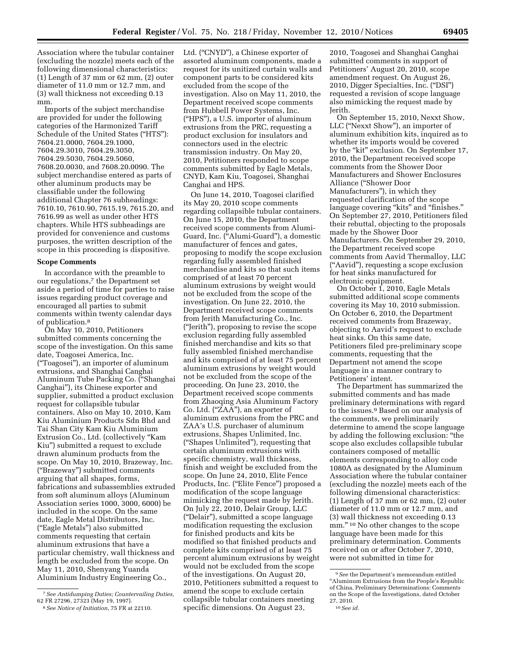Association where the tubular container (excluding the nozzle) meets each of the following dimensional characteristics: (1) Length of 37 mm or 62 mm, (2) outer diameter of 11.0 mm or 12.7 mm, and (3) wall thickness not exceeding 0.13 mm.

Imports of the subject merchandise are provided for under the following categories of the Harmonized Tariff Schedule of the United States ("HTS"): 7604.21.0000, 7604.29.1000, 7604.29.3010, 7604.29.3050, 7604.29.5030, 7604.29.5060, 7608.20.0030, and 7608.20.0090. The subject merchandise entered as parts of other aluminum products may be classifiable under the following additional Chapter 76 subheadings: 7610.10, 7610.90, 7615.19, 7615.20, and 7616.99 as well as under other HTS chapters. While HTS subheadings are provided for convenience and customs purposes, the written description of the scope in this proceeding is dispositive.

### **Scope Comments**

In accordance with the preamble to our regulations,<sup>7</sup> the Department set aside a period of time for parties to raise issues regarding product coverage and encouraged all parties to submit comments within twenty calendar days of publication.8

On May 10, 2010, Petitioners submitted comments concerning the scope of the investigation. On this same date, Toagosei America, Inc. (''Toagosei''), an importer of aluminum extrusions, and Shanghai Canghai Aluminum Tube Packing Co. (''Shanghai Canghai''), its Chinese exporter and supplier, submitted a product exclusion request for collapsible tubular containers. Also on May 10, 2010, Kam Kiu Aluminium Products Sdn Bhd and Tai Shan City Kam Kiu Aluminium Extrusion Co., Ltd. (collectively ''Kam Kiu'') submitted a request to exclude drawn aluminum products from the scope. On May 10, 2010, Brazeway, Inc. (''Brazeway'') submitted comments arguing that all shapes, forms, fabrications and subassemblies extruded from soft aluminum alloys (Aluminum Association series 1000, 3000, 6000) be included in the scope. On the same date, Eagle Metal Distributors, Inc. (''Eagle Metals'') also submitted comments requesting that certain aluminum extrusions that have a particular chemistry, wall thickness and length be excluded from the scope. On May 11, 2010, Shenyang Yuanda Aluminium Industry Engineering Co.,

Ltd. ("CNYD"), a Chinese exporter of assorted aluminum components, made a request for its unitized curtain walls and component parts to be considered kits excluded from the scope of the investigation. Also on May 11, 2010, the Department received scope comments from Hubbell Power Systems, Inc. (''HPS''), a U.S. importer of aluminum extrusions from the PRC, requesting a product exclusion for insulators and connectors used in the electric transmission industry. On May 20, 2010, Petitioners responded to scope comments submitted by Eagle Metals, CNYD, Kam Kiu, Toagosei, Shanghai Canghai and HPS.

On June 14, 2010, Toagosei clarified its May 20, 2010 scope comments regarding collapsible tubular containers. On June 15, 2010, the Department received scope comments from Alumi-Guard, Inc. (''Alumi-Guard''), a domestic manufacturer of fences and gates, proposing to modify the scope exclusion regarding fully assembled finished merchandise and kits so that such items comprised of at least 70 percent aluminum extrusions by weight would not be excluded from the scope of the investigation. On June 22, 2010, the Department received scope comments from Jerith Manufacturing Co., Inc. (''Jerith''), proposing to revise the scope exclusion regarding fully assembled finished merchandise and kits so that fully assembled finished merchandise and kits comprised of at least 75 percent aluminum extrusions by weight would not be excluded from the scope of the proceeding. On June 23, 2010, the Department received scope comments from Zhaoqing Asia Aluminum Factory Co. Ltd. (''ZAA''), an exporter of aluminum extrusions from the PRC and ZAA's U.S. purchaser of aluminum extrusions, Shapes Unlimited, Inc. (''Shapes Unlimited''), requesting that certain aluminum extrusions with specific chemistry, wall thickness, finish and weight be excluded from the scope. On June 24, 2010, Elite Fence Products, Inc. (''Elite Fence'') proposed a modification of the scope language mimicking the request made by Jerith. On July 22, 2010, Delair Group, LLC (''Delair''), submitted a scope language modification requesting the exclusion for finished products and kits be modified so that finished products and complete kits comprised of at least 75 percent aluminum extrusions by weight would not be excluded from the scope of the investigations. On August 20, 2010, Petitioners submitted a request to amend the scope to exclude certain collapsible tubular containers meeting specific dimensions. On August 23,

2010, Toagosei and Shanghai Canghai submitted comments in support of Petitioners' August 20, 2010, scope amendment request. On August 26, 2010, Digger Specialties, Inc. (''DSI'') requested a revision of scope language also mimicking the request made by Jerith.

On September 15, 2010, Nexxt Show, LLC (''Nexxt Show''), an importer of aluminum exhibition kits, inquired as to whether its imports would be covered by the "kit" exclusion. On September 17, 2010, the Department received scope comments from the Shower Door Manufacturers and Shower Enclosures Alliance (''Shower Door Manufacturers''), in which they requested clarification of the scope language covering "kits" and "finishes." On September 27, 2010, Petitioners filed their rebuttal, objecting to the proposals made by the Shower Door Manufacturers. On September 29, 2010, the Department received scope comments from Aavid Thermalloy, LLC (''Aavid''), requesting a scope exclusion for heat sinks manufactured for electronic equipment.

On October 1, 2010, Eagle Metals submitted additional scope comments covering its May 10, 2010 submission. On October 6, 2010, the Department received comments from Brazeway, objecting to Aavid's request to exclude heat sinks. On this same date, Petitioners filed pre-preliminary scope comments, requesting that the Department not amend the scope language in a manner contrary to Petitioners' intent.

The Department has summarized the submitted comments and has made preliminary determinations with regard to the issues.9 Based on our analysis of the comments, we preliminarily determine to amend the scope language by adding the following exclusion: ''the scope also excludes collapsible tubular containers composed of metallic elements corresponding to alloy code 1080A as designated by the Aluminum Association where the tubular container (excluding the nozzle) meets each of the following dimensional characteristics: (1) Length of 37 mm or 62 mm, (2) outer diameter of 11.0 mm or 12.7 mm, and (3) wall thickness not exceeding 0.13 mm."<sup>10</sup> No other changes to the scope language have been made for this preliminary determination. Comments received on or after October 7, 2010, were not submitted in time for

<sup>7</sup>*See Antidumping Duties; Countervailing Duties,*  62 FR 27296, 27323 (May 19, 1997).

<sup>8</sup>*See Notice of Initiation,* 75 FR at 22110.

<sup>9</sup>*See* the Department's memorandum entitled ''Aluminum Extrusions from the People's Republic of China, Preliminary Determinations: Comments on the Scope of the Investigations, dated October 27, 2010.

<sup>10</sup>*See id.*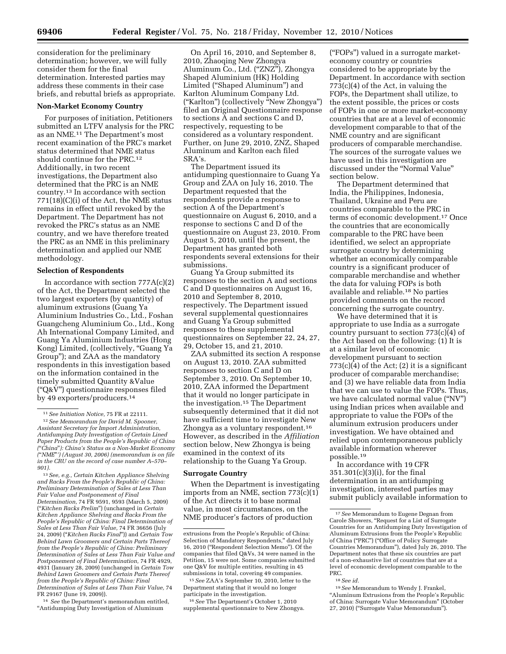consideration for the preliminary determination; however, we will fully consider them for the final determination. Interested parties may address these comments in their case briefs, and rebuttal briefs as appropriate.

#### **Non-Market Economy Country**

For purposes of initiation, Petitioners submitted an LTFV analysis for the PRC as an NME.11 The Department's most recent examination of the PRC's market status determined that NME status should continue for the PRC.12 Additionally, in two recent investigations, the Department also determined that the PRC is an NME country.13 In accordance with section 771(18)(C)(i) of the Act, the NME status remains in effect until revoked by the Department. The Department has not revoked the PRC's status as an NME country, and we have therefore treated the PRC as an NME in this preliminary determination and applied our NME methodology.

#### **Selection of Respondents**

In accordance with section 777A(c)(2) of the Act, the Department selected the two largest exporters (by quantity) of aluminum extrusions (Guang Ya Aluminium Industries Co., Ltd., Foshan Guangcheng Aluminium Co., Ltd., Kong Ah International Company Limited, and Guang Ya Aluminium Industries (Hong Kong) Limited, (collectively, ''Guang Ya Group''); and ZAA as the mandatory respondents in this investigation based on the information contained in the timely submitted Quantity &Value (''Q&V'') questionnaire responses filed by 49 exporters/producers.14

13*See, e.g., Certain Kitchen Appliance Shelving and Racks From the People's Republic of China: Preliminary Determination of Sales at Less Than Fair Value and Postponement of Final Determination,* 74 FR 9591, 9593 (March 5, 2009) (''*Kitchen Racks Prelim*'') (unchanged in *Certain Kitchen Appliance Shelving and Racks From the People's Republic of China: Final Determination of Sales at Less Than Fair Value,* 74 FR 36656 (July 24, 2009) (''*Kitchen Racks Final*'')) and *Certain Tow Behind Lawn Groomers and Certain Parts Thereof from the People's Republic of China: Preliminary Determination of Sales at Less Than Fair Value and Postponement of Final Determination,* 74 FR 4929, 4931 (January 28, 2009) (unchanged in *Certain Tow Behind Lawn Groomers and Certain Parts Thereof from the People's Republic of China: Final Determination of Sales at Less Than Fair Value,* 74 FR 29167 (June 19, 2009)).

14 *See* the Department's memorandum entitled, ''Antidumping Duty Investigation of Aluminum

On April 16, 2010, and September 8, 2010, Zhaoqing New Zhongya Aluminum Co., Ltd. (''ZNZ''), Zhongya Shaped Aluminium (HK) Holding Limited (''Shaped Aluminum'') and Karlton Aluminum Company Ltd. (''Karlton'') (collectively ''New Zhongya'') filed an Original Questionnaire response to sections A and sections C and D, respectively, requesting to be considered as a voluntary respondent. Further, on June 29, 2010, ZNZ, Shaped Aluminum and Karlton each filed SRA's.

The Department issued its antidumping questionnaire to Guang Ya Group and ZAA on July 16, 2010. The Department requested that the respondents provide a response to section A of the Department's questionnaire on August 6, 2010, and a response to sections C and D of the questionnaire on August 23, 2010. From August 5, 2010, until the present, the Department has granted both respondents several extensions for their submissions.

Guang Ya Group submitted its responses to the section A and sections C and D questionnaires on August 16, 2010 and September 8, 2010, respectively. The Department issued several supplemental questionnaires and Guang Ya Group submitted responses to these supplemental questionnaires on September 22, 24, 27, 29, October 15, and 21, 2010.

ZAA submitted its section A response on August 13, 2010. ZAA submitted responses to section C and D on September 3, 2010. On September 10, 2010, ZAA informed the Department that it would no longer participate in the investigation.15 The Department subsequently determined that it did not have sufficient time to investigate New Zhongya as a voluntary respondent.16 However, as described in the *Affiliation*  section below, New Zhongya is being examined in the context of its relationship to the Guang Ya Group.

#### **Surrogate Country**

When the Department is investigating imports from an NME, section 773(c)(1) of the Act directs it to base normal value, in most circumstances, on the NME producer's factors of production

15*See* ZAA's September 10, 2010, letter to the Department stating that it would no longer participate in the investigation.

16*See* The Department's October 1, 2010 supplemental questionnaire to New Zhongya.

(''FOPs'') valued in a surrogate marketeconomy country or countries considered to be appropriate by the Department. In accordance with section 773(c)(4) of the Act, in valuing the FOPs, the Department shall utilize, to the extent possible, the prices or costs of FOPs in one or more market-economy countries that are at a level of economic development comparable to that of the NME country and are significant producers of comparable merchandise. The sources of the surrogate values we have used in this investigation are discussed under the ''Normal Value'' section below.

The Department determined that India, the Philippines, Indonesia, Thailand, Ukraine and Peru are countries comparable to the PRC in terms of economic development.17 Once the countries that are economically comparable to the PRC have been identified, we select an appropriate surrogate country by determining whether an economically comparable country is a significant producer of comparable merchandise and whether the data for valuing FOPs is both available and reliable.18 No parties provided comments on the record concerning the surrogate country.

We have determined that it is appropriate to use India as a surrogate country pursuant to section 773(c)(4) of the Act based on the following: (1) It is at a similar level of economic development pursuant to section  $773(c)(4)$  of the Act; (2) it is a significant producer of comparable merchandise; and (3) we have reliable data from India that we can use to value the FOPs. Thus, we have calculated normal value (''NV'') using Indian prices when available and appropriate to value the FOPs of the aluminum extrusion producers under investigation. We have obtained and relied upon contemporaneous publicly available information wherever possible.19

In accordance with 19 CFR 351.301(c)(3)(i), for the final determination in an antidumping investigation, interested parties may submit publicly available information to

19*See* Memorandum to Wendy J. Frankel, ''Aluminum Extrusions from the People's Republic of China: Surrogate Value Memorandum'' (October 27, 2010) (''Surrogate Value Memorandum'').

<sup>11</sup>*See Initiation Notice,* 75 FR at 22111.

<sup>12</sup>*See Memorandum for David M. Spooner, Assistant Secretary for Import Administration, Antidumping Duty Investigation of Certain Lined Paper Products from the People's Republic of China (*''*China*''*): China's Status as a Non-Market Economy (*''*NME*''*') (August 30, 2006) (memorandum is on file in the CRU on the record of case number A–570– 901).* 

extrusions from the People's Republic of China: Selection of Mandatory Respondents,'' dated July 16, 2010 (''Respondent Selection Memo''). Of the companies that filed Q&Vs, 34 were named in the Petition, 15 were not. Some companies submitted one Q&V for multiple entities, resulting in 45 submissions in total, covering 49 companies.

<sup>17</sup>*See* Memorandum to Eugene Degnan from Carole Showers, ''Request for a List of Surrogate Countries for an Antidumping Duty Investigation of Aluminum Extrusions from the People's Republic of China (''PRC'') (''Office of Policy Surrogate Countries Memorandum''), dated July 26, 2010. The Department notes that these six countries are part of a non-exhaustive list of countries that are at a level of economic development comparable to the PRC.

<sup>18</sup>*See id.*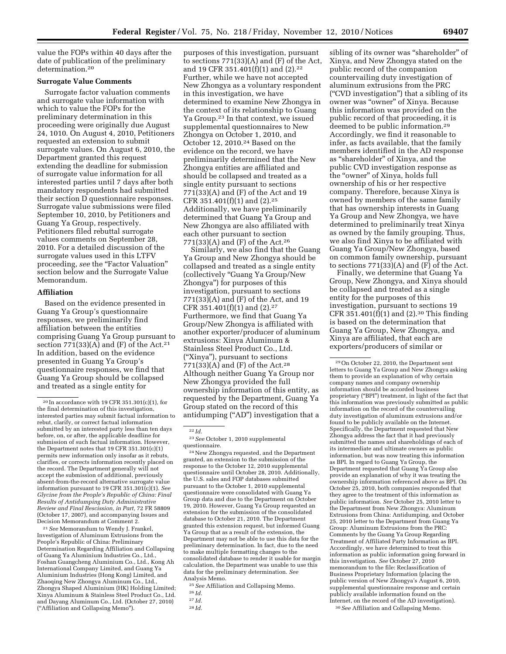value the FOPs within 40 days after the date of publication of the preliminary determination.20

# **Surrogate Value Comments**

Surrogate factor valuation comments and surrogate value information with which to value the FOPs for the preliminary determination in this proceeding were originally due August 24, 1010. On August 4, 2010, Petitioners requested an extension to submit surrogate values. On August 6, 2010, the Department granted this request extending the deadline for submission of surrogate value information for all interested parties until 7 days after both mandatory respondents had submitted their section D questionnaire responses. Surrogate value submissions were filed September 10, 2010, by Petitioners and Guang Ya Group, respectively. Petitioners filed rebuttal surrogate values comments on September 28, 2010. For a detailed discussion of the surrogate values used in this LTFV proceeding, see the "Factor Valuation" section below and the Surrogate Value Memorandum.

### **Affiliation**

Based on the evidence presented in Guang Ya Group's questionnaire responses, we preliminarily find affiliation between the entities comprising Guang Ya Group pursuant to section  $771(33)(A)$  and (F) of the Act.<sup>21</sup> In addition, based on the evidence presented in Guang Ya Group's questionnaire responses, we find that Guang Ya Group should be collapsed and treated as a single entity for

21*See* Memorandum to Wendy J. Frankel, Investigation of Aluminum Extrusions from the People's Republic of China: Preliminary Determination Regarding Affiliation and Collapsing of Guang Ya Aluminium Industries Co., Ltd., Foshan Guangcheng Aluminium Co., Ltd., Kong Ah International Company Limited, and Guang Ya Aluminium Industries (Hong Kong) Limited, and Zhaoqing New Zhongya Aluminum Co., Ltd., Zhongya Shaped Aluminium (HK) Holding Limited; Xinya Aluminum & Stainless Steel Product Co., Ltd. and Dayang Aluminum Co., Ltd. (October 27, 2010) (''Affiliation and Collapsing Memo'').

purposes of this investigation, pursuant to sections 771(33)(A) and (F) of the Act, and 19 CFR 351.401(f)(1) and (2).22 Further, while we have not accepted New Zhongya as a voluntary respondent in this investigation, we have determined to examine New Zhongya in the context of its relationship to Guang Ya Group.23 In that context, we issued supplemental questionnaires to New Zhongya on October 1, 2010, and October 12, 2010.24 Based on the evidence on the record, we have preliminarily determined that the New Zhongya entities are affiliated and should be collapsed and treated as a single entity pursuant to sections 771(33)(A) and (F) of the Act and 19 CFR 351.401(f)(1) and (2).25 Additionally, we have preliminarily determined that Guang Ya Group and New Zhongya are also affiliated with each other pursuant to section 771(33)(A) and  $(F)$  of the Act.<sup>26</sup>

Similarly, we also find that the Guang Ya Group and New Zhongya should be collapsed and treated as a single entity (collectively ''Guang Ya Group/New Zhongya'') for purposes of this investigation, pursuant to sections  $771(33)$ (A) and (F) of the Act, and 19 CFR 351.401(f)(1) and (2).27 Furthermore, we find that Guang Ya Group/New Zhongya is affiliated with another exporter/producer of aluminum extrusions: Xinya Aluminum & Stainless Steel Product Co., Ltd. (''Xinya''), pursuant to sections 771(33)(A) and (F) of the Act.28 Although neither Guang Ya Group nor New Zhongya provided the full ownership information of this entity, as requested by the Department, Guang Ya Group stated on the record of this antidumping (''AD'') investigation that a

24New Zhongya requested, and the Department granted, an extension to the submission of the response to the October 12, 2010 supplemental questionnaire until October 28, 2010. Additionally, the U.S. sales and FOP databases submitted pursuant to the October 1, 2010 supplemental questionnaire were consolidated with Guang Ya Group data and due to the Department on October 19, 2010. However, Guang Ya Group requested an extension for the submission of the consolidated database to October 21, 2010. The Department granted this extension request, but informed Guang Ya Group that as a result of the extension, the Department may not be able to use this data for the preliminary determination. In fact, due to the need to make multiple formatting changes to the consolidated database to render it usable for margin calculation, the Department was unable to use this data for the preliminary determination. *See*  Analysis Memo.

sibling of its owner was "shareholder" of Xinya, and New Zhongya stated on the public record of the companion countervailing duty investigation of aluminum extrusions from the PRC (''CVD investigation'') that a sibling of its owner was ''owner'' of Xinya. Because this information was provided on the public record of that proceeding, it is deemed to be public information.29 Accordingly, we find it reasonable to infer, as facts available, that the family members identified in the AD response as ''shareholder'' of Xinya, and the public CVD investigation response as the "owner" of Xinya, holds full ownership of his or her respective company. Therefore, because Xinya is owned by members of the same family that has ownership interests in Guang Ya Group and New Zhongya, we have determined to preliminarily treat Xinya as owned by the family grouping. Thus, we also find Xinya to be affiliated with Guang Ya Group/New Zhongya, based on common family ownership, pursuant to sections  $771(33)(A)$  and  $(F)$  of the Act.

Finally, we determine that Guang Ya Group, New Zhongya, and Xinya should be collapsed and treated as a single entity for the purposes of this investigation, pursuant to sections 19 CFR 351.401(f)(1) and (2).<sup>30</sup> This finding is based on the determination that Guang Ya Group, New Zhongya, and Xinya are affiliated, that each are exporters/producers of similar or

30*See* Affiliation and Collapsing Memo.

 $^{20}\!$  In accordance with 19 CFR 351.301(c)(1), for the final determination of this investigation, interested parties may submit factual information to rebut, clarify, or correct factual information submitted by an interested party less than ten days before, on, or after, the applicable deadline for submission of such factual information. However, the Department notes that 19 CFR 351.301(c)(1) permits new information only insofar as it rebuts, clarifies, or corrects information recently placed on the record. The Department generally will not accept the submission of additional, previously absent-from-the-record alternative surrogate value information pursuant to 19 CFR 351.301(c)(1). *See Glycine from the People's Republic of China: Final Results of Antidumping Duty Administrative Review and Final Rescission, in Part,* 72 FR 58809 (October 17, 2007), and accompanying Issues and Decision Memorandum at Comment 2.

<sup>22</sup> *Id.* 

<sup>23</sup>*See* October 1, 2010 supplemental questionnaire.

<sup>25</sup>*See* Affiliation and Collapsing Memo.

<sup>26</sup> *Id.* 

<sup>27</sup> *Id.* 

<sup>28</sup> *Id.* 

<sup>29</sup>On October 22, 2010, the Department sent letters to Guang Ya Group and New Zhongya asking them to provide an explanation of why certain company names and company ownership information should be accorded business proprietary (''BPI'') treatment, in light of the fact that this information was previously submitted as public information on the record of the countervailing duty investigation of aluminum extrusions and/or found to be publicly available on the Internet. Specifically, the Department requested that New Zhongya address the fact that it had previously submitted the names and shareholdings of each of its intermediate and ultimate owners as public information, but was now treating this information as BPI. In regard to Guang Ya Group, the Department requested that Guang Ya Group also provide an explanation of why it was treating the ownership information referenced above as BPI. On October 25, 2010, both companies responded that they agree to the treatment of this information as public information. *See* October 25, 2010 letter to the Department from New Zhongya: Aluminum Extrusions from China: Antidumping, and October 25, 2010 letter to the Department from Guang Ya Group: Aluminum Extrusions from the PRC: Comments by the Guang Ya Group Regarding Treatment of Affiliated Party Information as BPI. Accordingly, we have determined to treat this information as public information going forward in this investigation. *See* October 27, 2010 memorandum to the file: Reclassification of Business Proprietary Information (placing the public version of New Zhongya's August 6, 2010, supplemental questionnaire response and certain publicly available information found on the Internet, on the record of the AD investigation).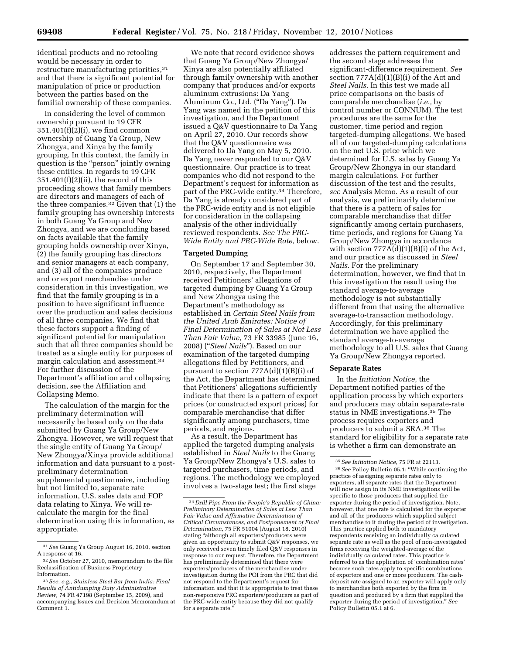identical products and no retooling would be necessary in order to restructure manufacturing priorities, 31 and that there is significant potential for manipulation of price or production between the parties based on the familial ownership of these companies.

In considering the level of common ownership pursuant to 19 CFR 351.401(f)(2)(i), we find common ownership of Guang Ya Group, New Zhongya, and Xinya by the family grouping. In this context, the family in question is the "person" jointly owning these entities. In regards to 19 CFR  $351.401(f)(2)(ii)$ , the record of this proceeding shows that family members are directors and managers of each of the three companies.32 Given that (1) the family grouping has ownership interests in both Guang Ya Group and New Zhongya, and we are concluding based on facts available that the family grouping holds ownership over Xinya, (2) the family grouping has directors and senior managers at each company, and (3) all of the companies produce and or export merchandise under consideration in this investigation, we find that the family grouping is in a position to have significant influence over the production and sales decisions of all three companies. We find that these factors support a finding of significant potential for manipulation such that all three companies should be treated as a single entity for purposes of margin calculation and assessment.33 For further discussion of the Department's affiliation and collapsing decision, see the Affiliation and Collapsing Memo.

The calculation of the margin for the preliminary determination will necessarily be based only on the data submitted by Guang Ya Group/New Zhongya. However, we will request that the single entity of Guang Ya Group/ New Zhongya/Xinya provide additional information and data pursuant to a postpreliminary determination supplemental questionnaire, including but not limited to, separate rate information, U.S. sales data and FOP data relating to Xinya. We will recalculate the margin for the final determination using this information, as appropriate.

We note that record evidence shows that Guang Ya Group/New Zhongya/ Xinya are also potentially affiliated through family ownership with another company that produces and/or exports aluminum extrusions: Da Yang Aluminum Co., Ltd. (''Da Yang''). Da Yang was named in the petition of this investigation, and the Department issued a Q&V questionnaire to Da Yang on April 27, 2010. Our records show that the Q&V questionnaire was delivered to Da Yang on May 5, 2010. Da Yang never responded to our Q&V questionnaire. Our practice is to treat companies who did not respond to the Department's request for information as part of the PRC-wide entity.34 Therefore, Da Yang is already considered part of the PRC-wide entity and is not eligible for consideration in the collapsing analysis of the other individually reviewed respondents. *See The PRC-Wide Entity and PRC-Wide Rate,* below.

## **Targeted Dumping**

On September 17 and September 30, 2010, respectively, the Department received Petitioners' allegations of targeted dumping by Guang Ya Group and New Zhongya using the Department's methodology as established in *Certain Steel Nails from the United Arab Emirates: Notice of Final Determination of Sales at Not Less Than Fair Value,* 73 FR 33985 (June 16, 2008) (''*Steel Nails*''). Based on our examination of the targeted dumping allegations filed by Petitioners, and pursuant to section  $777A(d)(1)(B)(i)$  of the Act, the Department has determined that Petitioners' allegations sufficiently indicate that there is a pattern of export prices (or constructed export prices) for comparable merchandise that differ significantly among purchasers, time periods, and regions.

As a result, the Department has applied the targeted dumping analysis established in *Steel Nails* to the Guang Ya Group/New Zhongya's U.S. sales to targeted purchasers, time periods, and regions. The methodology we employed involves a two-stage test; the first stage

addresses the pattern requirement and the second stage addresses the significant-difference requirement. *See*  section  $777A(d)(1)(B)(i)$  of the Act and *Steel Nails.* In this test we made all price comparisons on the basis of comparable merchandise (*i.e.,* by control number or CONNUM). The test procedures are the same for the customer, time period and region targeted-dumping allegations. We based all of our targeted-dumping calculations on the net U.S. price which we determined for U.S. sales by Guang Ya Group/New Zhongya in our standard margin calculations. For further discussion of the test and the results, *see* Analysis Memo. As a result of our analysis, we preliminarily determine that there is a pattern of sales for comparable merchandise that differ significantly among certain purchasers, time periods, and regions for Guang Ya Group/New Zhongya in accordance with section 777A(d)(1)(B)(i) of the Act, and our practice as discussed in *Steel Nails.* For the preliminary determination, however, we find that in this investigation the result using the standard average-to-average methodology is not substantially different from that using the alternative average-to-transaction methodology. Accordingly, for this preliminary determination we have applied the standard average-to-average methodology to all U.S. sales that Guang Ya Group/New Zhongya reported.

# **Separate Rates**

In the *Initiation Notice,* the Department notified parties of the application process by which exporters and producers may obtain separate-rate status in NME investigations.35 The process requires exporters and producers to submit a SRA.36 The standard for eligibility for a separate rate is whether a firm can demonstrate an

<sup>31</sup>*See* Guang Ya Group August 16, 2010, section A response at 16.

<sup>32</sup>*See* October 27, 2010, memorandum to the file: Reclassification of Business Proprietary Information.

<sup>33</sup>*See, e.g., Stainless Steel Bar from India: Final Results of Antidumping Duty Administrative Review,* 74 FR 47198 (September 15, 2009), and accompanying Issues and Decision Memorandum at Comment 1.

<sup>34</sup> *Drill Pipe From the People's Republic of China: Preliminary Determination of Sales at Less Than Fair Value and Affirmative Determination of Critical Circumstances, and Postponement of Final Determination,* 75 FR 51004 (August 18, 2010) stating "although all exporters/producers were given an opportunity to submit Q&V responses, we only received seven timely filed Q&V responses in response to our request. Therefore, the Department has preliminarily determined that there were exporters/producers of the merchandise under investigation during the POI from the PRC that did not respond to the Department's request for information and that it is appropriate to treat these non-responsive PRC exporters/producers as part of the PRC-wide entity because they did not qualify for a separate rate.

<sup>35</sup>*See Initiation Notice,* 75 FR at 22113.

<sup>36</sup>*See* Policy Bulletin 05.1: ''While continuing the practice of assigning separate rates only to exporters, all separate rates that the Department will now assign in its NME investigations will be specific to those producers that supplied the exporter during the period of investigation. Note, however, that one rate is calculated for the exporter and all of the producers which supplied subject merchandise to it during the period of investigation. This practice applied both to mandatory respondents receiving an individually calculated separate rate as well as the pool of non-investigated firms receiving the weighted-average of the individually calculated rates. This practice is referred to as the application of 'combination rates' because such rates apply to specific combinations of exporters and one or more producers. The cashdeposit rate assigned to an exporter will apply only to merchandise both exported by the firm in question and produced by a firm that supplied the exporter during the period of investigation.'' *See*  Policy Bulletin 05.1 at 6.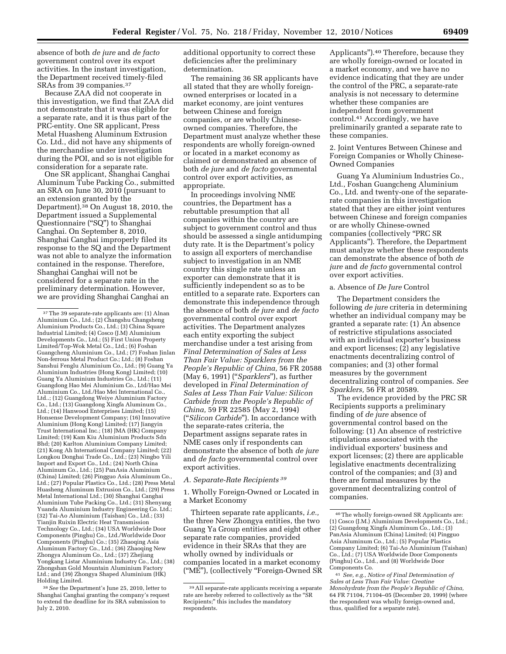absence of both *de jure* and *de facto*  government control over its export activities. In the instant investigation, the Department received timely-filed SRAs from 39 companies.37

Because ZAA did not cooperate in this investigation, we find that ZAA did not demonstrate that it was eligible for a separate rate, and it is thus part of the PRC-entity. One SR applicant, Press Metal Huasheng Aluminum Extrusion Co. Ltd., did not have any shipments of the merchandise under investigation during the POI, and so is not eligible for consideration for a separate rate.

One SR applicant, Shanghai Canghai Aluminum Tube Packing Co., submitted an SRA on June 30, 2010 (pursuant to an extension granted by the Department).<sup>38</sup> On August 18, 2010, the Department issued a Supplemental Questionnaire (''SQ'') to Shanghai Canghai. On September 8, 2010, Shanghai Canghai improperly filed its response to the SQ and the Department was not able to analyze the information contained in the response. Therefore, Shanghai Canghai will not be considered for a separate rate in the preliminary determination. However, we are providing Shanghai Canghai an

additional opportunity to correct these deficiencies after the preliminary determination.

The remaining 36 SR applicants have all stated that they are wholly foreignowned enterprises or located in a market economy, are joint ventures between Chinese and foreign companies, or are wholly Chineseowned companies. Therefore, the Department must analyze whether these respondents are wholly foreign-owned or located in a market economy as claimed or demonstrated an absence of both *de jure* and *de facto* governmental control over export activities, as appropriate.

In proceedings involving NME countries, the Department has a rebuttable presumption that all companies within the country are subject to government control and thus should be assessed a single antidumping duty rate. It is the Department's policy to assign all exporters of merchandise subject to investigation in an NME country this single rate unless an exporter can demonstrate that it is sufficiently independent so as to be entitled to a separate rate. Exporters can demonstrate this independence through the absence of both *de jure* and *de facto*  governmental control over export activities. The Department analyzes each entity exporting the subject merchandise under a test arising from *Final Determination of Sales at Less Than Fair Value: Sparklers from the People's Republic of China,* 56 FR 20588 (May 6, 1991) (''*Sparklers*''), as further developed in *Final Determination of Sales at Less Than Fair Value: Silicon Carbide from the People's Republic of China,* 59 FR 22585 (May 2, 1994) (''*Silicon Carbide*''). In accordance with the separate-rates criteria, the Department assigns separate rates in NME cases only if respondents can demonstrate the absence of both *de jure*  and *de facto* governmental control over export activities.

# *A. Separate-Rate Recipients 39*

1. Wholly Foreign-Owned or Located in a Market Economy

Thirteen separate rate applicants, *i.e.,*  the three New Zhongya entities, the two Guang Ya Group entities and eight other separate rate companies, provided evidence in their SRAs that they are wholly owned by individuals or companies located in a market economy (''ME''), (collectively ''Foreign-Owned SR Applicants'').40 Therefore, because they are wholly foreign-owned or located in a market economy, and we have no evidence indicating that they are under the control of the PRC, a separate-rate analysis is not necessary to determine whether these companies are independent from government control.41 Accordingly, we have preliminarily granted a separate rate to these companies.

## 2. Joint Ventures Between Chinese and Foreign Companies or Wholly Chinese-Owned Companies

Guang Ya Aluminium Industries Co., Ltd., Foshan Guangcheng Aluminium Co., Ltd. and twenty-one of the separaterate companies in this investigation stated that they are either joint ventures between Chinese and foreign companies or are wholly Chinese-owned companies (collectively ''PRC SR Applicants''). Therefore, the Department must analyze whether these respondents can demonstrate the absence of both *de jure* and *de facto* governmental control over export activities.

### a. Absence of *De Jure* Control

The Department considers the following *de jure* criteria in determining whether an individual company may be granted a separate rate: (1) An absence of restrictive stipulations associated with an individual exporter's business and export licenses; (2) any legislative enactments decentralizing control of companies; and (3) other formal measures by the government decentralizing control of companies. *See Sparklers,* 56 FR at 20589.

The evidence provided by the PRC SR Recipients supports a preliminary finding of *de jure* absence of governmental control based on the following: (1) An absence of restrictive stipulations associated with the individual exporters' business and export licenses; (2) there are applicable legislative enactments decentralizing control of the companies; and (3) and there are formal measures by the government decentralizing control of companies.

<sup>37</sup>The 39 separate-rate applicants are: (1) Alnan Aluminium Co., Ltd.; (2) Changshu Changsheng Aluminium Products Co., Ltd.; (3) China Square Industrial Limited; (4) Cosco (J.M) Aluminium Developments Co., Ltd.; (5) First Union Property Limited/Top-Wok Metal Co., Ltd.; (6) Foshan Guangcheng Aluminium Co., Ltd.; (7) Foshan Jinlan Non-ferrous Metal Product Co.; Ltd.; (8) Foshan Sanshui Fenglu Aluminium Co., Ltd.; (9) Guang Ya Aluminium Industries (Hong Kong) Limited; (10) Guang Ya Aluminium Industries Co., Ltd.; (11) Guangdong Hao Mei Aluminium Co., Ltd/Hao Mei Aluminium Co., Ltd./Hao Mei International Co., Ltd..; (12) Guangdong Weiye Aluminium Factory Co., Ltd.; (13) Guangdong Xingfa Aluminum Co., Ltd.; (14) Hanwood Enterprises Limited; (15) Honsense Development Company; (16) Innovative Aluminium (Hong Kong) Limited; (17) Jiangyin Trust International Inc.; (18) JMA (HK) Company Limited; (19) Kam Kiu Aluminium Products Sdn Bhd; (20) Karlton Aluminium Company Limited; (21) Kong Ah International Company Limited; (22) Longkou Donghai Trade Co., Ltd.; (23) Ningbo Yili Import and Export Co., Ltd.; (24) North China Aluminum Co., Ltd.; (25) PanAsia Aluminium (China) Limited; (26) Pingguo Asia Aluminum Co., Ltd.; (27) Popular Plastics Co., Ltd.; (28) Press Metal Huasheng Aluminum Extrusion Co., Ltd.; (29) Press Metal International Ltd.; (30) Shanghai Canghai Aluminium Tube Packing Co., Ltd.; (31) Shenyang Yuanda Aluminium Industry Engineering Co. Ltd.; (32) Tai-Ao Aluminium (Taishan) Co., Ltd.; (33) Tianjin Ruixin Electric Heat Transmission Technology Co., Ltd.; (34) USA Worldwide Door Components (Pinghu) Co., Ltd./Worldwide Door Components (Pinghu) Co.; (35) Zhaoqing Asia Aluminum Factory Co., Ltd.; (36) Zhaoqing New Zhongya Aluminum Co., Ltd.; (37) Zhejiang Yongkang Listar Aluminium Industry Co., Ltd.; (38) Zhongshan Gold Mountain Aluminium Factory Ltd.; and (39) Zhongya Shaped Aluminium (HK) Holding Limited.

<sup>38</sup>*See* the Department's June 25, 2010, letter to Shanghai Canghai granting the company's request to extend the deadline for its SRA submission to July 2, 2010.

<sup>39</sup>All separate-rate applicants receiving a separate rate are hereby referred to collectively as the "SR Recipients;'' this includes the mandatory respondents.

<sup>40</sup>The wholly foreign-owned SR Applicants are: (1) Cosco (J.M.) Aluminium Developments Co., Ltd.; (2) Guangdong Xingfa Aluminum Co., Ltd.; (3) PanAsia Aluminum (China) Limited; (4) Pingguo Asia Aluminum Co., Ltd.; (5) Popular Plastics Company Limited; (6) Tai-Ao Aluminium (Taishan) Co., Ltd.; (7) USA Worldwide Door Components (Pinghu) Co., Ltd., and (8) Worldwide Door Components Co.

<sup>41</sup> *See, e.g., Notice of Final Determination of Sales at Less Than Fair Value: Creatine Monohydrate from the People's Republic of China,*  64 FR 71104, 71104–05 (December 20, 1999) (where the respondent was wholly foreign-owned and, thus, qualified for a separate rate).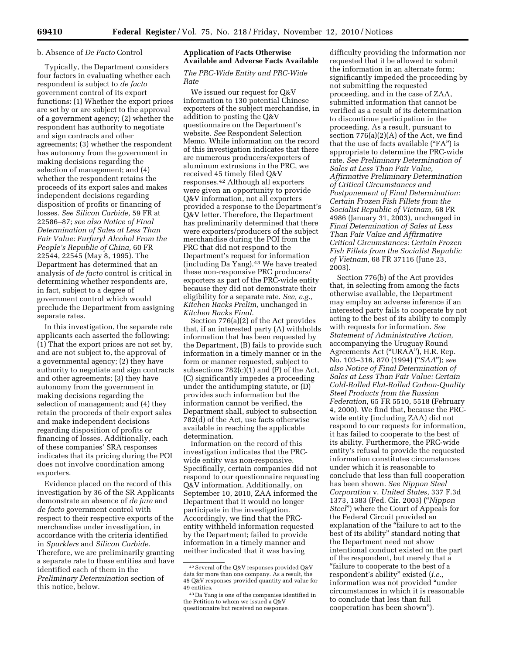### b. Absence of *De Facto* Control

Typically, the Department considers four factors in evaluating whether each respondent is subject to *de facto*  government control of its export functions: (1) Whether the export prices are set by or are subject to the approval of a government agency; (2) whether the respondent has authority to negotiate and sign contracts and other agreements; (3) whether the respondent has autonomy from the government in making decisions regarding the selection of management; and (4) whether the respondent retains the proceeds of its export sales and makes independent decisions regarding disposition of profits or financing of losses. *See Silicon Carbide,* 59 FR at 22586–87; *see also Notice of Final Determination of Sales at Less Than Fair Value: Furfuryl Alcohol From the People's Republic of China,* 60 FR 22544, 22545 (May 8, 1995). The Department has determined that an analysis of *de facto* control is critical in determining whether respondents are, in fact, subject to a degree of government control which would preclude the Department from assigning separate rates.

In this investigation, the separate rate applicants each asserted the following: (1) That the export prices are not set by, and are not subject to, the approval of a governmental agency; (2) they have authority to negotiate and sign contracts and other agreements; (3) they have autonomy from the government in making decisions regarding the selection of management; and (4) they retain the proceeds of their export sales and make independent decisions regarding disposition of profits or financing of losses. Additionally, each of these companies' SRA responses indicates that its pricing during the POI does not involve coordination among exporters.

Evidence placed on the record of this investigation by 36 of the SR Applicants demonstrate an absence of *de jure* and *de facto* government control with respect to their respective exports of the merchandise under investigation, in accordance with the criteria identified in *Sparklers* and *Silicon Carbide.*  Therefore, we are preliminarily granting a separate rate to these entities and have identified each of them in the *Preliminary Determination* section of this notice, below.

# **Application of Facts Otherwise Available and Adverse Facts Available**

*The PRC-Wide Entity and PRC-Wide Rate* 

We issued our request for Q&V information to 130 potential Chinese exporters of the subject merchandise, in addition to posting the Q&V questionnaire on the Department's website. *See* Respondent Selection Memo. While information on the record of this investigation indicates that there are numerous producers/exporters of aluminum extrusions in the PRC, we received 45 timely filed Q&V responses.42 Although all exporters were given an opportunity to provide Q&V information, not all exporters provided a response to the Department's Q&V letter. Therefore, the Department has preliminarily determined that there were exporters/producers of the subject merchandise during the POI from the PRC that did not respond to the Department's request for information (including Da Yang).43 We have treated these non-responsive PRC producers/ exporters as part of the PRC-wide entity because they did not demonstrate their eligibility for a separate rate. *See, e.g., Kitchen Racks Prelim,* unchanged in *Kitchen Racks Final.* 

Section 776(a)(2) of the Act provides that, if an interested party (A) withholds information that has been requested by the Department, (B) fails to provide such information in a timely manner or in the form or manner requested, subject to subsections  $782(c)(1)$  and  $(F)$  of the Act, (C) significantly impedes a proceeding under the antidumping statute, or (D) provides such information but the information cannot be verified, the Department shall, subject to subsection 782(d) of the Act, use facts otherwise available in reaching the applicable determination.

Information on the record of this investigation indicates that the PRCwide entity was non-responsive. Specifically, certain companies did not respond to our questionnaire requesting Q&V information. Additionally, on September 10, 2010, ZAA informed the Department that it would no longer participate in the investigation. Accordingly, we find that the PRCentity withheld information requested by the Department; failed to provide information in a timely manner and neither indicated that it was having

difficulty providing the information nor requested that it be allowed to submit the information in an alternate form; significantly impeded the proceeding by not submitting the requested proceeding, and in the case of ZAA, submitted information that cannot be verified as a result of its determination to discontinue participation in the proceeding. As a result, pursuant to section 776(a)(2)(A) of the Act, we find that the use of facts available (''FA'') is appropriate to determine the PRC-wide rate. *See Preliminary Determination of Sales at Less Than Fair Value, Affirmative Preliminary Determination of Critical Circumstances and Postponement of Final Determination: Certain Frozen Fish Fillets from the Socialist Republic of Vietnam,* 68 FR 4986 (January 31, 2003), unchanged in *Final Determination of Sales at Less Than Fair Value and Affirmative Critical Circumstances: Certain Frozen Fish Fillets from the Socialist Republic of Vietnam,* 68 FR 37116 (June 23, 2003).

Section 776(b) of the Act provides that, in selecting from among the facts otherwise available, the Department may employ an adverse inference if an interested party fails to cooperate by not acting to the best of its ability to comply with requests for information. *See Statement of Administrative Action,*  accompanying the Uruguay Round Agreements Act (''URAA''), H.R. Rep. No. 103–316, 870 (1994) (''*SAA*''); *see also Notice of Final Determination of Sales at Less Than Fair Value: Certain Cold-Rolled Flat-Rolled Carbon-Quality Steel Products from the Russian Federation,* 65 FR 5510, 5518 (February 4, 2000). We find that, because the PRCwide entity (including ZAA) did not respond to our requests for information, it has failed to cooperate to the best of its ability. Furthermore, the PRC-wide entity's refusal to provide the requested information constitutes circumstances under which it is reasonable to conclude that less than full cooperation has been shown. *See Nippon Steel Corporation* v. *United States,* 337 F.3d 1373, 1383 (Fed. Cir. 2003) (''*Nippon Steel*'') where the Court of Appeals for the Federal Circuit provided an explanation of the "failure to act to the best of its ability'' standard noting that the Department need not show intentional conduct existed on the part of the respondent, but merely that a ''failure to cooperate to the best of a respondent's ability'' existed (*i.e.,*  information was not provided ''under circumstances in which it is reasonable to conclude that less than full cooperation has been shown'').

<sup>42</sup>Several of the Q&V responses provided Q&V data for more than one company. As a result, the 45 Q&V responses provided quantity and value for 49 entities.

<sup>43</sup> Da Yang is one of the companies identified in the Petition to whom we issued a Q&V questionnaire but received no response.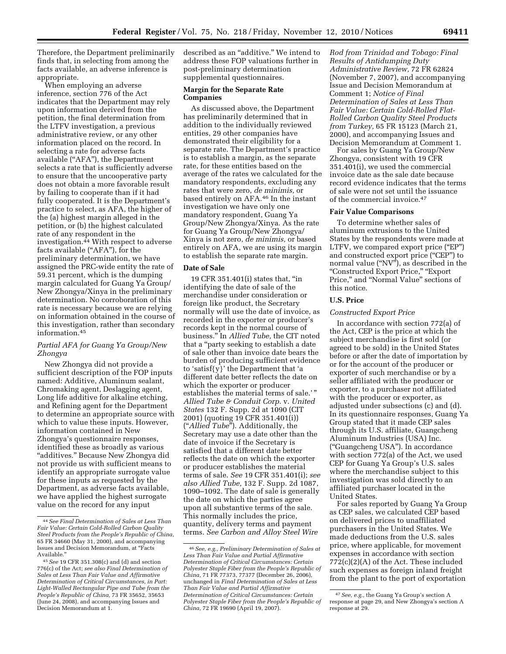Therefore, the Department preliminarily finds that, in selecting from among the facts available, an adverse inference is appropriate.

When employing an adverse inference, section 776 of the Act indicates that the Department may rely upon information derived from the petition, the final determination from the LTFV investigation, a previous administrative review, or any other information placed on the record. In selecting a rate for adverse facts available (''AFA''), the Department selects a rate that is sufficiently adverse to ensure that the uncooperative party does not obtain a more favorable result by failing to cooperate than if it had fully cooperated. It is the Department's practice to select, as AFA, the higher of the (a) highest margin alleged in the petition, or (b) the highest calculated rate of any respondent in the investigation.44 With respect to adverse facts available ("AFA"), for the preliminary determination, we have assigned the PRC-wide entity the rate of 59.31 percent, which is the dumping margin calculated for Guang Ya Group/ New Zhongya/Xinya in the preliminary determination. No corroboration of this rate is necessary because we are relying on information obtained in the course of this investigation, rather than secondary information.45

# *Partial AFA for Guang Ya Group/New Zhongya*

New Zhongya did not provide a sufficient description of the FOP inputs named: Additive, Aluminum sealant, Chromaking agent, Deslagging agent, Long life additive for alkaline etching, and Refining agent for the Department to determine an appropriate source with which to value these inputs. However, information contained in New Zhongya's questionnaire responses, identified these as broadly as various "additives." Because New Zhongya did not provide us with sufficient means to identify an appropriate surrogate value for these inputs as requested by the Department, as adverse facts available, we have applied the highest surrogate value on the record for any input

described as an ''additive.'' We intend to address these FOP valuations further in post-preliminary determination supplemental questionnaires.

## **Margin for the Separate Rate Companies**

As discussed above, the Department has preliminarily determined that in addition to the individually reviewed entities, 29 other companies have demonstrated their eligibility for a separate rate. The Department's practice is to establish a margin, as the separate rate, for these entities based on the average of the rates we calculated for the mandatory respondents, excluding any rates that were zero, *de minimis,* or based entirely on AFA.46 In the instant investigation we have only one mandatory respondent, Guang Ya Group/New Zhongya/Xinya. As the rate for Guang Ya Group/New Zhongya/ Xinya is not zero, *de minimis,* or based entirely on AFA, we are using its margin to establish the separate rate margin.

### **Date of Sale**

19 CFR 351.401(i) states that, ''in identifying the date of sale of the merchandise under consideration or foreign like product, the Secretary normally will use the date of invoice, as recorded in the exporter or producer's records kept in the normal course of business.'' In *Allied Tube,* the CIT noted that a ''party seeking to establish a date of sale other than invoice date bears the burden of producing sufficient evidence to 'satisf{y}' the Department that 'a different date better reflects the date on which the exporter or producer establishes the material terms of sale.'" *Allied Tube & Conduit Corp.* v. *United States* 132 F. Supp. 2d at 1090 (CIT 2001) (quoting 19 CFR 351.401(i)) (''*Allied Tube*''). Additionally, the Secretary may use a date other than the date of invoice if the Secretary is satisfied that a different date better reflects the date on which the exporter or producer establishes the material terms of sale. *See* 19 CFR 351.401(i); *see also Allied Tube,* 132 F. Supp. 2d 1087, 1090–1092. The date of sale is generally the date on which the parties agree upon all substantive terms of the sale. This normally includes the price, quantity, delivery terms and payment terms. *See Carbon and Alloy Steel Wire* 

*Rod from Trinidad and Tobago: Final Results of Antidumping Duty Administrative Review,* 72 FR 62824 (November 7, 2007), and accompanying Issue and Decision Memorandum at Comment 1; *Notice of Final Determination of Sales at Less Than Fair Value: Certain Cold-Rolled Flat-Rolled Carbon Quality Steel Products from Turkey,* 65 FR 15123 (March 21, 2000), and accompanying Issues and Decision Memorandum at Comment 1.

For sales by Guang Ya Group/New Zhongya, consistent with 19 CFR 351.401(i), we used the commercial invoice date as the sale date because record evidence indicates that the terms of sale were not set until the issuance of the commercial invoice.47

## **Fair Value Comparisons**

To determine whether sales of aluminum extrusions to the United States by the respondents were made at LTFV, we compared export price ("EP") and constructed export price ("CEP") to normal value (''NV''), as described in the ''Constructed Export Price,'' ''Export Price,'' and ''Normal Value'' sections of this notice.

# **U.S. Price**

# *Constructed Export Price*

In accordance with section 772(a) of the Act, CEP is the price at which the subject merchandise is first sold (or agreed to be sold) in the United States before or after the date of importation by or for the account of the producer or exporter of such merchandise or by a seller affiliated with the producer or exporter, to a purchaser not affiliated with the producer or exporter, as adjusted under subsections (c) and (d). In its questionnaire responses, Guang Ya Group stated that it made CEP sales through its U.S. affiliate, Guangcheng Aluminum Industries (USA) Inc. (''Guangcheng USA''). In accordance with section 772(a) of the Act, we used CEP for Guang Ya Group's U.S. sales where the merchandise subject to this investigation was sold directly to an affiliated purchaser located in the United States.

For sales reported by Guang Ya Group as CEP sales, we calculated CEP based on delivered prices to unaffiliated purchasers in the United States. We made deductions from the U.S. sales price, where applicable, for movement expenses in accordance with section 772(c)(2)(A) of the Act. These included such expenses as foreign inland freight from the plant to the port of exportation

<sup>44</sup>*See Final Determination of Sales at Less Than Fair Value: Certain Cold-Rolled Carbon Quality Steel Products from the People's Republic of China,*  65 FR 34660 (May 31, 2000), and accompanying Issues and Decision Memorandum, at ''Facts Available.''

<sup>45</sup>*See* 19 CFR 351.308(c) and (d) and section 776(c) of the Act; *see also Final Determination of Sales at Less Than Fair Value and Affirmative Determination of Critical Circumstances, in Part: Light-Walled Rectangular Pipe and Tube from the People's Republic of China,* 73 FR 35652, 35653 (June 24, 2008), and accompanying Issues and Decision Memorandum at 1.

<sup>46</sup>*See, e.g., Preliminary Determination of Sales at Less Than Fair Value and Partial Affirmative Determination of Critical Circumstances: Certain Polyester Staple Fiber from the People's Republic of China,* 71 FR 77373, 77377 (December 26, 2006), unchanged in *Final Determination of Sales at Less Than Fair Value and Partial Affirmative Determination of Critical Circumstances: Certain Polyester Staple Fiber from the People's Republic of China,* 72 FR 19690 (April 19, 2007).

<sup>47</sup>*See, e.g.,* the Guang Ya Group's section A response at page 29, and New Zhongya's section A response at 29.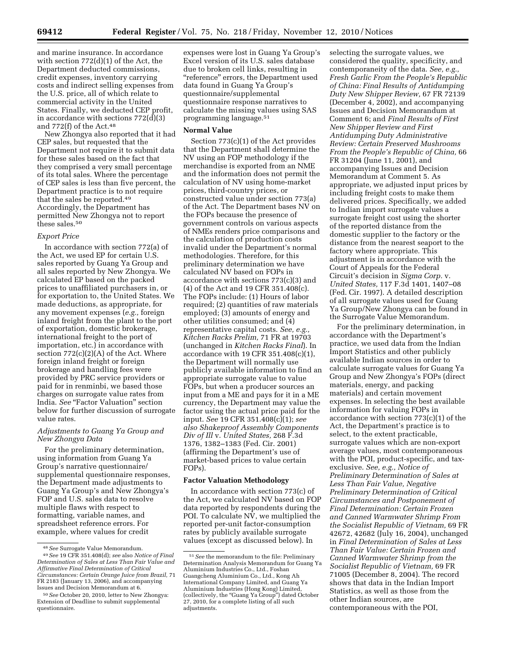and marine insurance. In accordance with section 772(d)(1) of the Act, the Department deducted commissions, credit expenses, inventory carrying costs and indirect selling expenses from the U.S. price, all of which relate to commercial activity in the United States. Finally, we deducted CEP profit, in accordance with sections 772(d)(3) and 772(f) of the Act.48

New Zhongya also reported that it had CEP sales, but requested that the Department not require it to submit data for these sales based on the fact that they comprised a very small percentage of its total sales. Where the percentage of CEP sales is less than five percent, the Department practice is to not require that the sales be reported.49 Accordingly, the Department has permitted New Zhongya not to report these sales.50

#### *Export Price*

In accordance with section 772(a) of the Act, we used EP for certain U.S. sales reported by Guang Ya Group and all sales reported by New Zhongya. We calculated EP based on the packed prices to unaffiliated purchasers in, or for exportation to, the United States. We made deductions, as appropriate, for any movement expenses (*e.g.,* foreign inland freight from the plant to the port of exportation, domestic brokerage, international freight to the port of importation, etc.) in accordance with section 772(c)(2)(A) of the Act. Where foreign inland freight or foreign brokerage and handling fees were provided by PRC service providers or paid for in renminbi, we based those charges on surrogate value rates from India. *See* "Factor Valuation" section below for further discussion of surrogate value rates.

### *Adjustments to Guang Ya Group and New Zhongya Data*

For the preliminary determination, using information from Guang Ya Group's narrative questionnaire/ supplemental questionnaire responses, the Department made adjustments to Guang Ya Group's and New Zhongya's FOP and U.S. sales data to resolve multiple flaws with respect to formatting, variable names, and spreadsheet reference errors. For example, where values for credit

expenses were lost in Guang Ya Group's Excel version of its U.S. sales database due to broken cell links, resulting in ''reference'' errors, the Department used data found in Guang Ya Group's questionnaire/supplemental questionnaire response narratives to calculate the missing values using SAS programming language.51

#### **Normal Value**

Section 773(c)(1) of the Act provides that the Department shall determine the NV using an FOP methodology if the merchandise is exported from an NME and the information does not permit the calculation of NV using home-market prices, third-country prices, or constructed value under section 773(a) of the Act. The Department bases NV on the FOPs because the presence of government controls on various aspects of NMEs renders price comparisons and the calculation of production costs invalid under the Department's normal methodologies. Therefore, for this preliminary determination we have calculated NV based on FOPs in accordance with sections 773(c)(3) and (4) of the Act and 19 CFR 351.408(c). The FOPs include: (1) Hours of labor required; (2) quantities of raw materials employed; (3) amounts of energy and other utilities consumed; and (4) representative capital costs. *See, e.g., Kitchen Racks Prelim,* 71 FR at 19703 (unchanged in *Kitchen Racks Final*). In accordance with 19 CFR 351.408(c)(1), the Department will normally use publicly available information to find an appropriate surrogate value to value FOPs, but when a producer sources an input from a ME and pays for it in a ME currency, the Department may value the factor using the actual price paid for the input. *See* 19 CFR 351.408(c)(1); *see also Shakeproof Assembly Components Div of Ill* v. *United States,* 268 F.3d 1376, 1382–1383 (Fed. Cir. 2001) (affirming the Department's use of market-based prices to value certain FOPs).

## **Factor Valuation Methodology**

In accordance with section 773(c) of the Act, we calculated NV based on FOP data reported by respondents during the POI. To calculate NV, we multiplied the reported per-unit factor-consumption rates by publicly available surrogate values (except as discussed below). In

selecting the surrogate values, we considered the quality, specificity, and contemporaneity of the data. *See, e.g., Fresh Garlic From the People's Republic of China: Final Results of Antidumping Duty New Shipper Review,* 67 FR 72139 (December 4, 2002), and accompanying Issues and Decision Memorandum at Comment 6; and *Final Results of First New Shipper Review and First Antidumping Duty Administrative Review: Certain Preserved Mushrooms From the People's Republic of China,* 66 FR 31204 (June 11, 2001), and accompanying Issues and Decision Memorandum at Comment 5. As appropriate, we adjusted input prices by including freight costs to make them delivered prices. Specifically, we added to Indian import surrogate values a surrogate freight cost using the shorter of the reported distance from the domestic supplier to the factory or the distance from the nearest seaport to the factory where appropriate. This adjustment is in accordance with the Court of Appeals for the Federal Circuit's decision in *Sigma Corp.* v. *United States,* 117 F.3d 1401, 1407–08 (Fed. Cir. 1997). A detailed description of all surrogate values used for Guang Ya Group/New Zhongya can be found in the Surrogate Value Memorandum.

For the preliminary determination, in accordance with the Department's practice, we used data from the Indian Import Statistics and other publicly available Indian sources in order to calculate surrogate values for Guang Ya Group and New Zhongya's FOPs (direct materials, energy, and packing materials) and certain movement expenses. In selecting the best available information for valuing FOPs in accordance with section 773(c)(1) of the Act, the Department's practice is to select, to the extent practicable, surrogate values which are non-export average values, most contemporaneous with the POI, product-specific, and taxexclusive. *See, e.g., Notice of Preliminary Determination of Sales at Less Than Fair Value, Negative Preliminary Determination of Critical Circumstances and Postponement of Final Determination: Certain Frozen and Canned Warmwater Shrimp From the Socialist Republic of Vietnam,* 69 FR 42672, 42682 (July 16, 2004), unchanged in *Final Determination of Sales at Less Than Fair Value: Certain Frozen and Canned Warmwater Shrimp from the Socialist Republic of Vietnam,* 69 FR 71005 (December 8, 2004). The record shows that data in the Indian Import Statistics, as well as those from the other Indian sources, are contemporaneous with the POI,

<sup>48</sup>*See* Surrogate Value Memorandum. 49*See* 19 CFR 351.408(d); *see* also *Notice of Final Determination of Sales at Less Than Fair Value and Affirmative Final Determination of Critical Circumstances: Certain Orange Juice from Brazil,* 71 FR 2183 (January 13, 2006), and accompanying Issues and Decision Memorandum at 6.

<sup>50</sup>*See* October 20, 2010, letter to New Zhongya: Extension of Deadline to submit supplemental questionnaire.

<sup>51</sup>*See* the memorandum to the file: Preliminary Determination Analysis Memorandum for Guang Ya Aluminium Industries Co., Ltd., Foshan Guangcheng Aluminium Co., Ltd., Kong Ah International Company Limited, and Guang Ya Aluminium Industries (Hong Kong) Limited, (collectively, the ''Guang Ya Group'') dated October 27, 2010, for a complete listing of all such adjustments.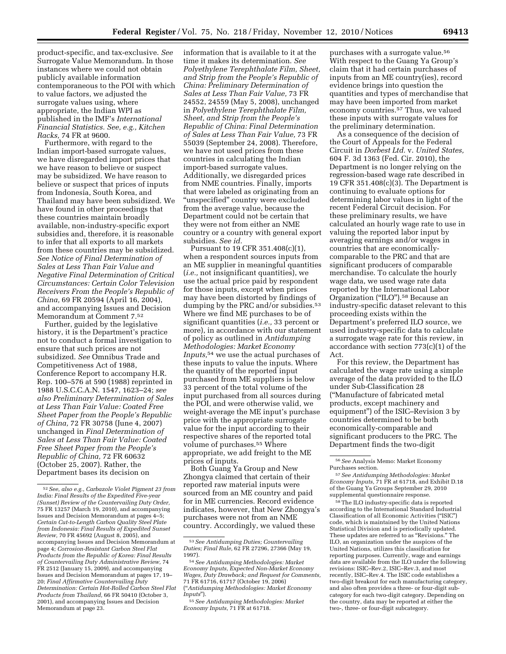product-specific, and tax-exclusive. *See*  Surrogate Value Memorandum. In those instances where we could not obtain publicly available information contemporaneous to the POI with which to value factors, we adjusted the surrogate values using, where appropriate, the Indian WPI as published in the IMF's *International Financial Statistics. See, e.g., Kitchen Racks,* 74 FR at 9600.

Furthermore, with regard to the Indian import-based surrogate values, we have disregarded import prices that we have reason to believe or suspect may be subsidized. We have reason to believe or suspect that prices of inputs from Indonesia, South Korea, and Thailand may have been subsidized. We have found in other proceedings that these countries maintain broadly available, non-industry-specific export subsidies and, therefore, it is reasonable to infer that all exports to all markets from these countries may be subsidized. *See Notice of Final Determination of Sales at Less Than Fair Value and Negative Final Determination of Critical Circumstances: Certain Color Television Receivers From the People's Republic of China,* 69 FR 20594 (April 16, 2004), and accompanying Issues and Decision Memorandum at Comment 7.52

Further, guided by the legislative history, it is the Department's practice not to conduct a formal investigation to ensure that such prices are not subsidized. *See* Omnibus Trade and Competitiveness Act of 1988, Conference Report to accompany H.R. Rep. 100–576 at 590 (1988) reprinted in 1988 U.S.C.C.A.N. 1547, 1623–24; *see also Preliminary Determination of Sales at Less Than Fair Value: Coated Free Sheet Paper from the People's Republic of China,* 72 FR 30758 (June 4, 2007) unchanged in *Final Determination of Sales at Less Than Fair Value: Coated Free Sheet Paper from the People's Republic of China,* 72 FR 60632 (October 25, 2007). Rather, the Department bases its decision on

information that is available to it at the time it makes its determination. *See Polyethylene Terephthalate Film, Sheet, and Strip from the People's Republic of China: Preliminary Determination of Sales at Less Than Fair Value,* 73 FR 24552, 24559 (May 5, 2008), unchanged in *Polyethylene Terephthalate Film, Sheet, and Strip from the People's Republic of China: Final Determination of Sales at Less Than Fair Value,* 73 FR 55039 (September 24, 2008). Therefore, we have not used prices from these countries in calculating the Indian import-based surrogate values. Additionally, we disregarded prices from NME countries. Finally, imports that were labeled as originating from an ''unspecified'' country were excluded from the average value, because the Department could not be certain that they were not from either an NME country or a country with general export subsidies. *See id.* 

Pursuant to 19 CFR 351.408(c)(1), when a respondent sources inputs from an ME supplier in meaningful quantities (*i.e.,* not insignificant quantities), we use the actual price paid by respondent for those inputs, except when prices may have been distorted by findings of dumping by the PRC and/or subsidies.<sup>53</sup> Where we find ME purchases to be of significant quantities (*i.e.,* 33 percent or more), in accordance with our statement of policy as outlined in *Antidumping Methodologies: Market Economy Inputs,*54 we use the actual purchases of these inputs to value the inputs. Where the quantity of the reported input purchased from ME suppliers is below 33 percent of the total volume of the input purchased from all sources during the POI, and were otherwise valid, we weight-average the ME input's purchase price with the appropriate surrogate value for the input according to their respective shares of the reported total volume of purchases.55 Where appropriate, we add freight to the ME prices of inputs.

Both Guang Ya Group and New Zhongya claimed that certain of their reported raw material inputs were sourced from an ME country and paid for in ME currencies. Record evidence indicates, however, that New Zhongya's purchases were not from an NME country. Accordingly, we valued these

purchases with a surrogate value.56 With respect to the Guang Ya Group's claim that it had certain purchases of inputs from an ME country(ies), record evidence brings into question the quantities and types of merchandise that may have been imported from market economy countries.57 Thus, we valued these inputs with surrogate values for the preliminary determination.

As a consequence of the decision of the Court of Appeals for the Federal Circuit in *Dorbest Ltd.* v. *United States,*  604 F. 3d 1363 (Fed. Cir. 2010), the Department is no longer relying on the regression-based wage rate described in 19 CFR 351.408(c)(3). The Department is continuing to evaluate options for determining labor values in light of the recent Federal Circuit decision. For these preliminary results, we have calculated an hourly wage rate to use in valuing the reported labor input by averaging earnings and/or wages in countries that are economicallycomparable to the PRC and that are significant producers of comparable merchandise. To calculate the hourly wage data, we used wage rate data reported by the International Labor Organization (''ILO'').58 Because an industry-specific dataset relevant to this proceeding exists within the Department's preferred ILO source, we used industry-specific data to calculate a surrogate wage rate for this review, in accordance with section 773(c)(1) of the Act.

For this review, the Department has calculated the wage rate using a simple average of the data provided to the ILO under Sub-Classification 28 (''Manufacture of fabricated metal products, except machinery and equipment'') of the ISIC–Revision 3 by countries determined to be both economically-comparable and significant producers to the PRC. The Department finds the two-digit

58The ILO industry-specific data is reported according to the International Standard Industrial Classification of all Economic Activities (''ISIC'') code, which is maintained by the United Nations Statistical Division and is periodically updated. These updates are referred to as ''Revisions.'' The ILO, an organization under the auspices of the United Nations, utilizes this classification for reporting purposes. Currently, wage and earnings data are available from the ILO under the following revisions: ISIC–Rev.2, ISIC–Rev.3, and most recently, ISIC–Rev.4. The ISIC code establishes a two-digit breakout for each manufacturing category, and also often provides a three- or four-digit subcategory for each two-digit category. Depending on the country, data may be reported at either the two-, three- or four-digit subcategory.

<sup>52</sup>*See, also e.g., Carbazole Violet Pigment 23 from India: Final Results of the Expedited Five-year (Sunset) Review of the Countervailing Duty Order,*  75 FR 13257 (March 19, 2010), and accompanying Issues and Decision Memorandum at pages 4–5; *Certain Cut-to-Length Carbon Quality Steel Plate from Indonesia: Final Results of Expedited Sunset Review,* 70 FR 45692 (August 8, 2005), and accompanying Issues and Decision Memorandum at page 4; *Corrosion-Resistant Carbon Steel Flat Products from the Republic of Korea: Final Results of Countervailing Duty Administrative Review,* 74 FR 2512 (January 15, 2009), and accompanying Issues and Decision Memorandum at pages 17, 19– 20; *Final Affirmative Countervailing Duty Determination: Certain Hot-Rolled Carbon Steel Flat Products from Thailand,* 66 FR 50410 (October 3, 2001), and accompanying Issues and Decision Memorandum at page 23.

<sup>53</sup>*See Antidumping Duties; Countervailing Duties; Final Rule,* 62 FR 27296, 27366 (May 19,

<sup>1997). 54</sup>*See Antidumping Methodologies: Market Economy Inputs, Expected Non-Market Economy Wages, Duty Drawback; and Request for Comments,*  71 FR 61716, 61717 (October 19, 2006) (''*Antidumping Methodologies: Market Economy* 

*Inputs*''). 55*See Antidumping Methodologies: Market Economy Inputs,* 71 FR at 61718.

<sup>56</sup>*See* Analysis Memo: Market Economy Purchases section.

<sup>57</sup>*See Antidumping Methodologies: Market Economy Inputs,* 71 FR at 61718, and Exhibit D.18 of the Guang Ya Groups September 29, 2010 supplemental questionnaire response.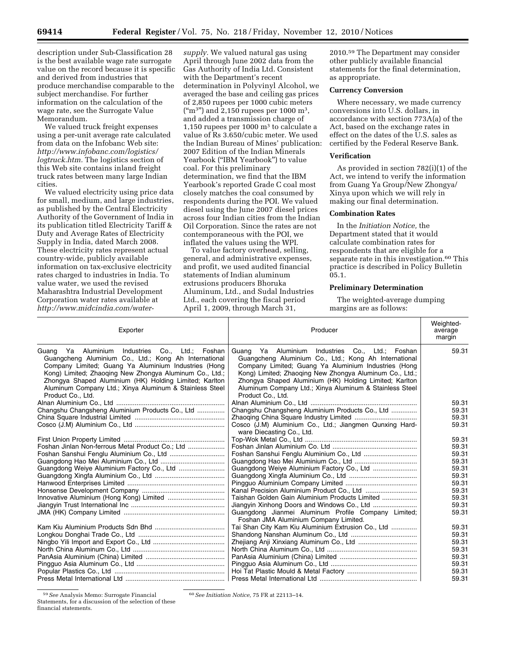description under Sub-Classification 28 is the best available wage rate surrogate value on the record because it is specific and derived from industries that produce merchandise comparable to the subject merchandise. For further information on the calculation of the wage rate, see the Surrogate Value Memorandum.

We valued truck freight expenses using a per-unit average rate calculated from data on the Infobanc Web site: *http://www.infobanc.com/logistics/ logtruck.htm.* The logistics section of this Web site contains inland freight truck rates between many large Indian cities.

We valued electricity using price data for small, medium, and large industries, as published by the Central Electricity Authority of the Government of India in its publication titled Electricity Tariff & Duty and Average Rates of Electricity Supply in India, dated March 2008. These electricity rates represent actual country-wide, publicly available information on tax-exclusive electricity rates charged to industries in India. To value water, we used the revised Maharashtra Industrial Development Corporation water rates available at *http://www.midcindia.com/water-*

*supply.* We valued natural gas using April through June 2002 data from the Gas Authority of India Ltd. Consistent with the Department's recent determination in Polyvinyl Alcohol, we averaged the base and ceiling gas prices of 2,850 rupees per 1000 cubic meters  $\text{("m3")}$  and 2,150 rupees per 1000 m<sup>3</sup>, and added a transmission charge of 1,150 rupees per 1000  $m<sup>3</sup>$  to calculate a value of Rs 3.650/cubic meter. We used the Indian Bureau of Mines' publication: 2007 Edition of the Indian Minerals Yearbook (''IBM Yearbook'') to value coal. For this preliminary determination, we find that the IBM Yearbook's reported Grade C coal most closely matches the coal consumed by respondents during the POI. We valued diesel using the June 2007 diesel prices across four Indian cities from the Indian Oil Corporation. Since the rates are not contemporaneous with the POI, we inflated the values using the WPI.

To value factory overhead, selling, general, and administrative expenses, and profit, we used audited financial statements of Indian aluminum extrusions producers Bhoruka Aluminum, Ltd., and Sudal Industries Ltd., each covering the fiscal period April 1, 2009, through March 31,

2010.59 The Department may consider other publicly available financial statements for the final determination, as appropriate.

# **Currency Conversion**

Where necessary, we made currency conversions into U.S. dollars, in accordance with section 773A(a) of the Act, based on the exchange rates in effect on the dates of the  $\overline{U}.S$ . sales as certified by the Federal Reserve Bank.

### **Verification**

As provided in section 782(i)(1) of the Act, we intend to verify the information from Guang Ya Group/New Zhongya/ Xinya upon which we will rely in making our final determination.

## **Combination Rates**

In the *Initiation Notice,* the Department stated that it would calculate combination rates for respondents that are eligible for a separate rate in this investigation.<sup>60</sup> This practice is described in Policy Bulletin 05.1.

#### **Preliminary Determination**

The weighted-average dumping margins are as follows:

| Exporter                                                                                                                                                                                                                                                                                                                                                                 | Producer                                                                                                                                                                                                                                                                                                                                                              | Weighted-<br>average<br>margin |
|--------------------------------------------------------------------------------------------------------------------------------------------------------------------------------------------------------------------------------------------------------------------------------------------------------------------------------------------------------------------------|-----------------------------------------------------------------------------------------------------------------------------------------------------------------------------------------------------------------------------------------------------------------------------------------------------------------------------------------------------------------------|--------------------------------|
| Industries Co., Ltd.; Foshan<br>Guang Ya Aluminium<br>Guangcheng Aluminium Co., Ltd.; Kong Ah International<br>Company Limited; Guang Ya Aluminium Industries (Hong<br>Kong) Limited; Zhaoqing New Zhongya Aluminum Co., Ltd.;<br>Zhongya Shaped Aluminium (HK) Holding Limited; Karlton<br>Aluminum Company Ltd.; Xinya Aluminum & Stainless Steel<br>Product Co., Ltd. | Guang Ya Aluminium Industries Co., Ltd.; Foshan<br>Guangcheng Aluminium Co., Ltd.; Kong Ah International<br>Company Limited; Guang Ya Aluminium Industries (Hong<br>Kong) Limited; Zhaoqing New Zhongya Aluminum Co., Ltd.;<br>Zhongya Shaped Aluminium (HK) Holding Limited; Karlton<br>Aluminum Company Ltd.; Xinya Aluminum & Stainless Steel<br>Product Co., Ltd. | 59.31                          |
|                                                                                                                                                                                                                                                                                                                                                                          |                                                                                                                                                                                                                                                                                                                                                                       | 59.31                          |
| Changshu Changsheng Aluminium Products Co., Ltd                                                                                                                                                                                                                                                                                                                          | Changshu Changsheng Aluminium Products Co., Ltd                                                                                                                                                                                                                                                                                                                       | 59.31                          |
|                                                                                                                                                                                                                                                                                                                                                                          |                                                                                                                                                                                                                                                                                                                                                                       | 59.31                          |
|                                                                                                                                                                                                                                                                                                                                                                          | Cosco (J.M) Aluminium Co., Ltd.; Jiangmen Qunxing Hard-<br>ware Diecasting Co., Ltd.                                                                                                                                                                                                                                                                                  | 59.31                          |
|                                                                                                                                                                                                                                                                                                                                                                          |                                                                                                                                                                                                                                                                                                                                                                       | 59.31                          |
| Foshan Jinlan Non-ferrous Metal Product Co.; Ltd                                                                                                                                                                                                                                                                                                                         |                                                                                                                                                                                                                                                                                                                                                                       | 59.31                          |
| Foshan Sanshui Fenglu Aluminium Co., Ltd                                                                                                                                                                                                                                                                                                                                 |                                                                                                                                                                                                                                                                                                                                                                       | 59.31                          |
|                                                                                                                                                                                                                                                                                                                                                                          |                                                                                                                                                                                                                                                                                                                                                                       | 59.31                          |
|                                                                                                                                                                                                                                                                                                                                                                          |                                                                                                                                                                                                                                                                                                                                                                       | 59.31                          |
|                                                                                                                                                                                                                                                                                                                                                                          |                                                                                                                                                                                                                                                                                                                                                                       | 59.31                          |
|                                                                                                                                                                                                                                                                                                                                                                          |                                                                                                                                                                                                                                                                                                                                                                       | 59.31                          |
|                                                                                                                                                                                                                                                                                                                                                                          |                                                                                                                                                                                                                                                                                                                                                                       | 59.31                          |
|                                                                                                                                                                                                                                                                                                                                                                          | Taishan Golden Gain Aluminium Products Limited                                                                                                                                                                                                                                                                                                                        | 59.31                          |
|                                                                                                                                                                                                                                                                                                                                                                          |                                                                                                                                                                                                                                                                                                                                                                       | 59.31                          |
|                                                                                                                                                                                                                                                                                                                                                                          | Guangdong Jianmei Aluminum Profile Company Limited;<br>Foshan JMA Aluminium Company Limited.                                                                                                                                                                                                                                                                          | 59.31                          |
|                                                                                                                                                                                                                                                                                                                                                                          | Tai Shan City Kam Kiu Aluminium Extrusion Co., Ltd                                                                                                                                                                                                                                                                                                                    | 59.31                          |
|                                                                                                                                                                                                                                                                                                                                                                          |                                                                                                                                                                                                                                                                                                                                                                       | 59.31                          |
|                                                                                                                                                                                                                                                                                                                                                                          |                                                                                                                                                                                                                                                                                                                                                                       | 59.31                          |
|                                                                                                                                                                                                                                                                                                                                                                          |                                                                                                                                                                                                                                                                                                                                                                       | 59.31                          |
|                                                                                                                                                                                                                                                                                                                                                                          |                                                                                                                                                                                                                                                                                                                                                                       | 59.31                          |
|                                                                                                                                                                                                                                                                                                                                                                          |                                                                                                                                                                                                                                                                                                                                                                       | 59.31                          |
|                                                                                                                                                                                                                                                                                                                                                                          |                                                                                                                                                                                                                                                                                                                                                                       | 59.31                          |
|                                                                                                                                                                                                                                                                                                                                                                          |                                                                                                                                                                                                                                                                                                                                                                       | 59.31                          |

<sup>59</sup>*See* Analysis Memo: Surrogate Financial Statements, for a discussion of the selection of these financial statements.

60*See Initiation Notice,* 75 FR at 22113–14.